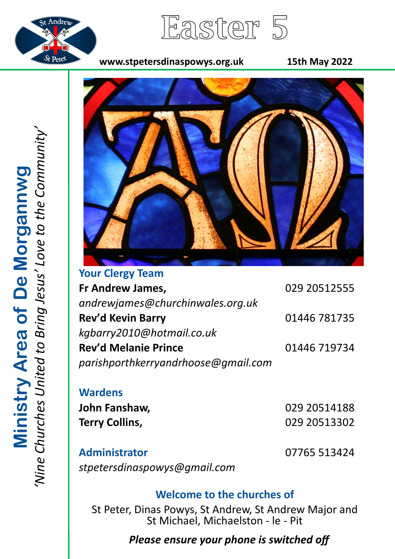

Easter 5

# **www.stpetersdinaspowys.org.uk 15th May 2022**



| <b>TUUL CICIKY IGAILL</b>           |              |
|-------------------------------------|--------------|
| Fr Andrew James,                    | 029 20512555 |
| andrewjames@churchinwales.org.uk    |              |
| <b>Rev'd Kevin Barry</b>            | 01446 781735 |
| kgbarry2010@hotmail.co.uk           |              |
| <b>Rev'd Melanie Prince</b>         | 01446 719734 |
| parishporthkerryandrhoose@gmail.com |              |
|                                     |              |

**Wardens**

**Terry Collins,** 029 20513302

**John Fanshaw,** 029 20514188

**Administrator** 07765 513424 *stpetersdinaspowys@gmail.com*

# **Welcome to the churches of**

St Peter, Dinas Powys, St Andrew, St Andrew Major and St Michael, Michaelston - le - Pit

# *Please ensure your phone is switched off*

*'Nine Churches United to Bring Jesus' Love to the Community'* Ministry Area of De Morgannwg<br>"Nine Churches United to Bring Jesus' Love to the Community **Ministry Area of De Morgannwg**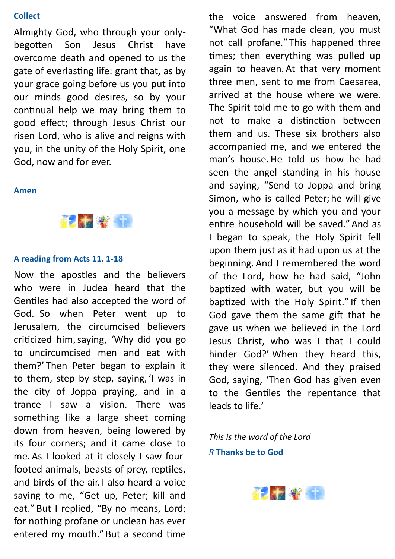#### **Collect**

Almighty God, who through your onlybegotten Son Jesus Christ have overcome death and opened to us the gate of everlasting life: grant that, as by your grace going before us you put into our minds good desires, so by your continual help we may bring them to good effect; through Jesus Christ our risen Lord, who is alive and reigns with you, in the unity of the Holy Spirit, one God, now and for ever.

#### **Amen**



#### **A reading from Acts 11. 1-18**

Now the apostles and the believers who were in Judea heard that the Gentiles had also accepted the word of God. So when Peter went up to Jerusalem, the circumcised believers criticized him,saying, 'Why did you go to uncircumcised men and eat with them?' Then Peter began to explain it to them, step by step, saying, 'I was in the city of Joppa praying, and in a trance I saw a vision. There was something like a large sheet coming down from heaven, being lowered by its four corners; and it came close to me. As I looked at it closely I saw fourfooted animals, beasts of prey, reptiles, and birds of the air. I also heard a voice saying to me, "Get up, Peter; kill and eat." But I replied, "By no means, Lord; for nothing profane or unclean has ever entered my mouth." But a second time

the voice answered from heaven, "What God has made clean, you must not call profane." This happened three times; then everything was pulled up again to heaven. At that very moment three men, sent to me from Caesarea, arrived at the house where we were. The Spirit told me to go with them and not to make a distinction between them and us. These six brothers also accompanied me, and we entered the man's house.He told us how he had seen the angel standing in his house and saying, "Send to Joppa and bring Simon, who is called Peter; he will give you a message by which you and your entire household will be saved."And as I began to speak, the Holy Spirit fell upon them just as it had upon us at the beginning. And I remembered the word of the Lord, how he had said, "John baptized with water, but you will be baptized with the Holy Spirit." If then God gave them the same gift that he gave us when we believed in the Lord Jesus Christ, who was I that I could hinder God?' When they heard this, they were silenced. And they praised God, saying, 'Then God has given even to the Gentiles the repentance that leads to life.'

*This is the word of the Lord R* **Thanks be to God**

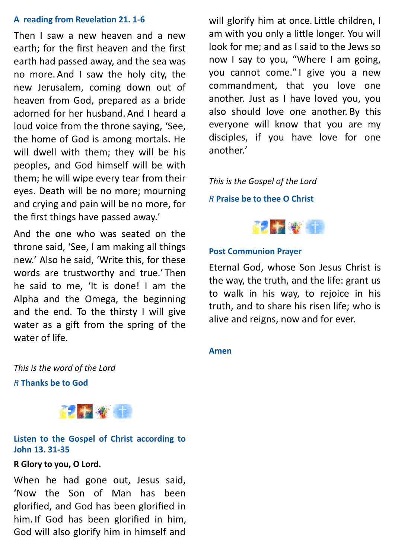#### **A reading from Revelation 21. 1-6**

Then I saw a new heaven and a new earth; for the first heaven and the first earth had passed away, and the sea was no more. And I saw the holy city, the new Jerusalem, coming down out of heaven from God, prepared as a bride adorned for her husband. And I heard a loud voice from the throne saying, 'See, the home of God is among mortals. He will dwell with them; they will be his peoples, and God himself will be with them; he will wipe every tear from their eyes. Death will be no more; mourning and crying and pain will be no more, for the first things have passed away.'

And the one who was seated on the throne said, 'See, I am making all things new.' Also he said, 'Write this, for these words are trustworthy and true.' Then he said to me, 'It is done! I am the Alpha and the Omega, the beginning and the end. To the thirsty I will give water as a gift from the spring of the water of life.

will glorify him at once. Little children, I am with you only a little longer. You will look for me; and as I said to the Jews so now I say to you, "Where I am going, you cannot come." I give you a new commandment, that you love one another. Just as I have loved you, you also should love one another. By this everyone will know that you are my disciples, if you have love for one another.'

*This is the Gospel of the Lord*

*R* **Praise be to thee O Christ**



#### **Post Communion Prayer**

Eternal God, whose Son Jesus Christ is the way, the truth, and the life: grant us to walk in his way, to rejoice in his truth, and to share his risen life; who is alive and reigns, now and for ever.

**Amen**

*This is the word of the Lord R* **Thanks be to God**



### **Listen to the Gospel of Christ according to John 13. 31-35**

#### **R Glory to you, O Lord.**

When he had gone out, Jesus said, 'Now the Son of Man has been glorified, and God has been glorified in him. If God has been glorified in him, God will also glorify him in himself and